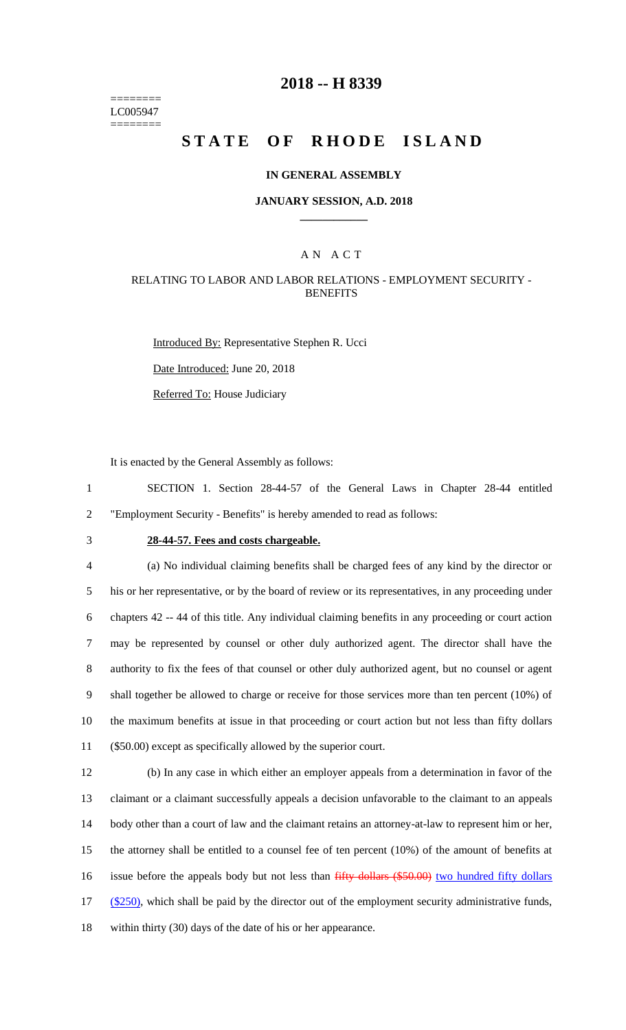======== LC005947 ========

# **2018 -- H 8339**

# **STATE OF RHODE ISLAND**

### **IN GENERAL ASSEMBLY**

### **JANUARY SESSION, A.D. 2018 \_\_\_\_\_\_\_\_\_\_\_\_**

## A N A C T

## RELATING TO LABOR AND LABOR RELATIONS - EMPLOYMENT SECURITY - **BENEFITS**

Introduced By: Representative Stephen R. Ucci

Date Introduced: June 20, 2018

Referred To: House Judiciary

It is enacted by the General Assembly as follows:

1 SECTION 1. Section 28-44-57 of the General Laws in Chapter 28-44 entitled 2 "Employment Security - Benefits" is hereby amended to read as follows:

# 3 **28-44-57. Fees and costs chargeable.**

 (a) No individual claiming benefits shall be charged fees of any kind by the director or his or her representative, or by the board of review or its representatives, in any proceeding under chapters 42 -- 44 of this title. Any individual claiming benefits in any proceeding or court action may be represented by counsel or other duly authorized agent. The director shall have the authority to fix the fees of that counsel or other duly authorized agent, but no counsel or agent shall together be allowed to charge or receive for those services more than ten percent (10%) of the maximum benefits at issue in that proceeding or court action but not less than fifty dollars (\$50.00) except as specifically allowed by the superior court.

 (b) In any case in which either an employer appeals from a determination in favor of the claimant or a claimant successfully appeals a decision unfavorable to the claimant to an appeals body other than a court of law and the claimant retains an attorney-at-law to represent him or her, the attorney shall be entitled to a counsel fee of ten percent (10%) of the amount of benefits at 16 issue before the appeals body but not less than fifty dollars (\$50.00) two hundred fifty dollars 17 (\$250), which shall be paid by the director out of the employment security administrative funds, within thirty (30) days of the date of his or her appearance.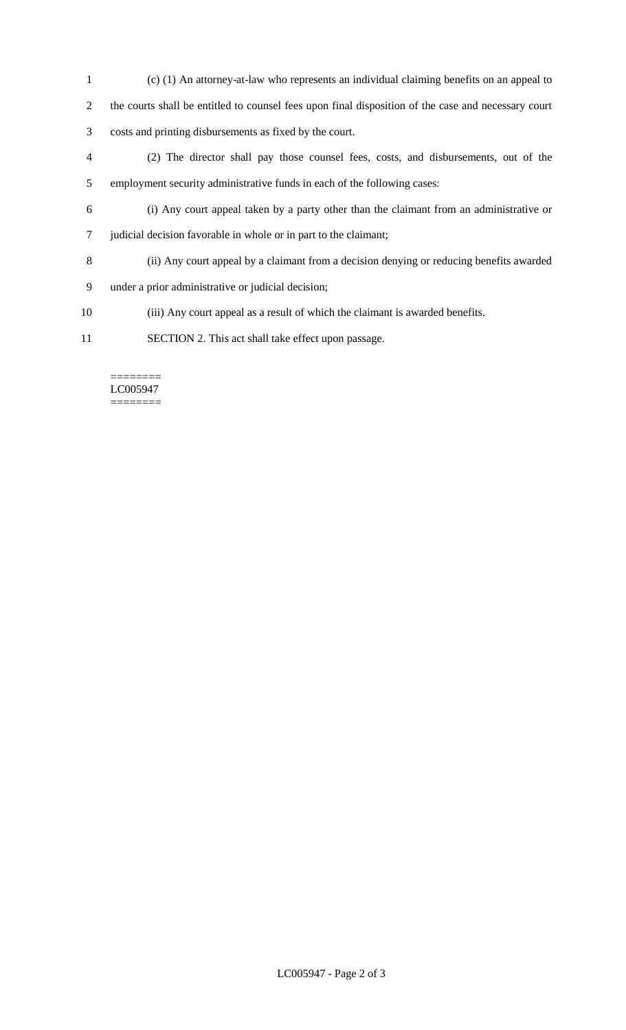- (c) (1) An attorney-at-law who represents an individual claiming benefits on an appeal to the courts shall be entitled to counsel fees upon final disposition of the case and necessary court costs and printing disbursements as fixed by the court. (2) The director shall pay those counsel fees, costs, and disbursements, out of the employment security administrative funds in each of the following cases: (i) Any court appeal taken by a party other than the claimant from an administrative or judicial decision favorable in whole or in part to the claimant; (ii) Any court appeal by a claimant from a decision denying or reducing benefits awarded under a prior administrative or judicial decision;
- (iii) Any court appeal as a result of which the claimant is awarded benefits.
- SECTION 2. This act shall take effect upon passage.

#### ======== LC005947 ========